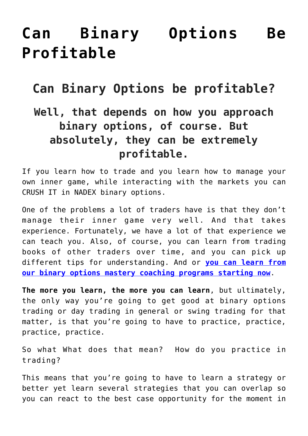## **[Can Binary Options Be](https://binaryoptionsauthority.com/can-binary-options-be-profitable/) [Profitable](https://binaryoptionsauthority.com/can-binary-options-be-profitable/)**

## **Can Binary Options be profitable?**

## **Well, that depends on how you approach binary options, of course. But absolutely, they can be extremely profitable.**

If you learn how to trade and you learn how to manage your own inner game, while interacting with the markets you can CRUSH IT in NADEX binary options.

One of the problems a lot of traders have is that they don't manage their inner game very well. And that takes experience. Fortunately, we have a lot of that experience we can teach you. Also, of course, you can learn from trading books of other traders over time, and you can pick up different tips for understanding. And or **[you can learn from](https://binaryoptionsauthority.com/binary-options-authority-mastery-trading-coaching-programs/) [our binary options mastery coaching programs starting now](https://binaryoptionsauthority.com/binary-options-authority-mastery-trading-coaching-programs/)**.

**The more you learn, the more you can learn**, but ultimately, the only way you're going to get good at binary options trading or day trading in general or swing trading for that matter, is that you're going to have to practice, practice, practice, practice.

So what What does that mean? How do you practice in trading?

This means that you're going to have to learn a strategy or better yet learn several strategies that you can overlap so you can react to the best case opportunity for the moment in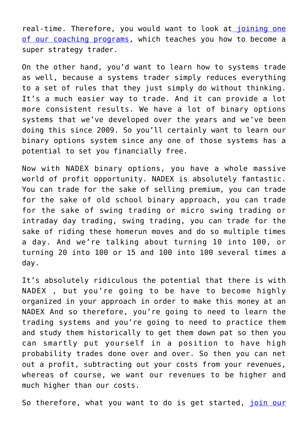real-time. Therefore, you would want to look at [joining one](https://binaryoptionsauthority.com/binary-options-authority-mastery-trading-coaching-programs/) [of our coaching programs,](https://binaryoptionsauthority.com/binary-options-authority-mastery-trading-coaching-programs/) which teaches you how to become a super strategy trader.

On the other hand, you'd want to learn how to systems trade as well, because a systems trader simply reduces everything to a set of rules that they just simply do without thinking. It's a much easier way to trade. And it can provide a lot more consistent results. We have a lot of binary options systems that we've developed over the years and we've been doing this since 2009. So you'll certainly want to learn our binary options system since any one of those systems has a potential to set you financially free.

Now with NADEX binary options, you have a whole massive world of profit opportunity. NADEX is absolutely fantastic. You can trade for the sake of selling premium, you can trade for the sake of old school binary approach, you can trade for the sake of swing trading or micro swing trading or intraday day trading, swing trading, you can trade for the sake of riding these homerun moves and do so multiple times a day. And we're talking about turning 10 into 100, or turning 20 into 100 or 15 and 100 into 100 several times a day.

It's absolutely ridiculous the potential that there is with NADEX , but you're going to be have to become highly organized in your approach in order to make this money at an NADEX And so therefore, you're going to need to learn the trading systems and you're going to need to practice them and study them historically to get them down pat so then you can smartly put yourself in a position to have high probability trades done over and over. So then you can net out a profit, subtracting out your costs from your revenues, whereas of course, we want our revenues to be higher and much higher than our costs.

So therefore, what you want to do is get started, *[join our](https://binaryoptionsauthority.com/newsletter/)*